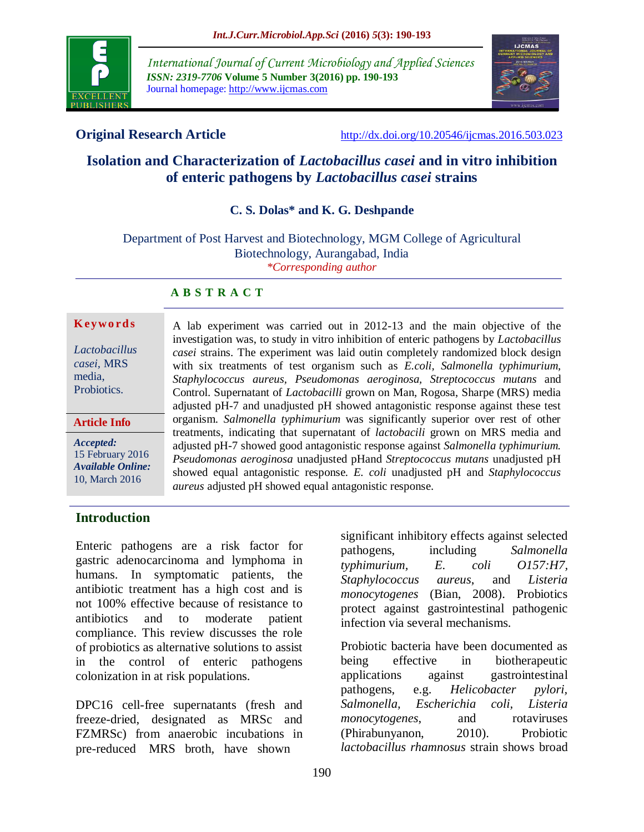

*International Journal of Current Microbiology and Applied Sciences ISSN: 2319-7706* **Volume 5 Number 3(2016) pp. 190-193** Journal homepage: http://www.ijcmas.com



**Original Research Article** <http://dx.doi.org/10.20546/ijcmas.2016.503.023>

# **Isolation and Characterization of** *Lactobacillus casei* **and in vitro inhibition of enteric pathogens by** *Lactobacillus casei* **strains**

**C. S. Dolas\* and K. G. Deshpande**

Department of Post Harvest and Biotechnology, MGM College of Agricultural Biotechnology, Aurangabad, India *\*Corresponding author*

#### **A B S T R A C T**

#### **K ey w o rd s**

*Lactobacillus casei,* MRS media, Probiotics.

**Article Info**

*Accepted:*  15 February 2016 *Available Online:* 10, March 2016

A lab experiment was carried out in 2012-13 and the main objective of the investigation was, to study in vitro inhibition of enteric pathogens by *Lactobacillus casei* strains. The experiment was laid outin completely randomized block design with six treatments of test organism such as *E.coli, Salmonella typhimurium, Staphylococcus aureus, Pseudomonas aeroginosa, Streptococcus mutans* and Control. Supernatant of *Lactobacilli* grown on Man, Rogosa, Sharpe (MRS) media adjusted pH-7 and unadjusted pH showed antagonistic response against these test organism. *Salmonella typhimurium* was significantly superior over rest of other treatments, indicating that supernatant of *lactobacili* grown on MRS media and adjusted pH-7 showed good antagonistic response against *Salmonella typhimurium. Pseudomonas aeroginosa* unadjusted pHand *Streptococcus mutans* unadjusted pH showed equal antagonistic response. *E. coli* unadjusted pH and *Staphylococcus aureus* adjusted pH showed equal antagonistic response.

## **Introduction**

Enteric pathogens are a risk factor for gastric adenocarcinoma and lymphoma in humans. In symptomatic patients, the antibiotic treatment has a high cost and is not 100% effective because of resistance to antibiotics and to moderate patient compliance. This review discusses the role of probiotics as alternative solutions to assist in the control of enteric pathogens colonization in at risk populations.

DPC16 cell-free supernatants (fresh and freeze-dried, designated as MRSc and FZMRSc) from anaerobic incubations in pre-reduced MRS broth, have shown

significant inhibitory effects against selected pathogens, including *Salmonella typhimurium, E. coli O157:H7, Staphylococcus aureus*, and *Listeria monocytogenes* (Bian, 2008). Probiotics protect against gastrointestinal pathogenic infection via several mechanisms.

Probiotic bacteria have been documented as being effective in biotherapeutic applications against gastrointestinal pathogens, e.g. *Helicobacter pylori, Salmonella, Escherichia coli, Listeria monocytogenes*, and rotaviruses (Phirabunyanon, 2010). Probiotic *lactobacillus rhamnosus* strain shows broad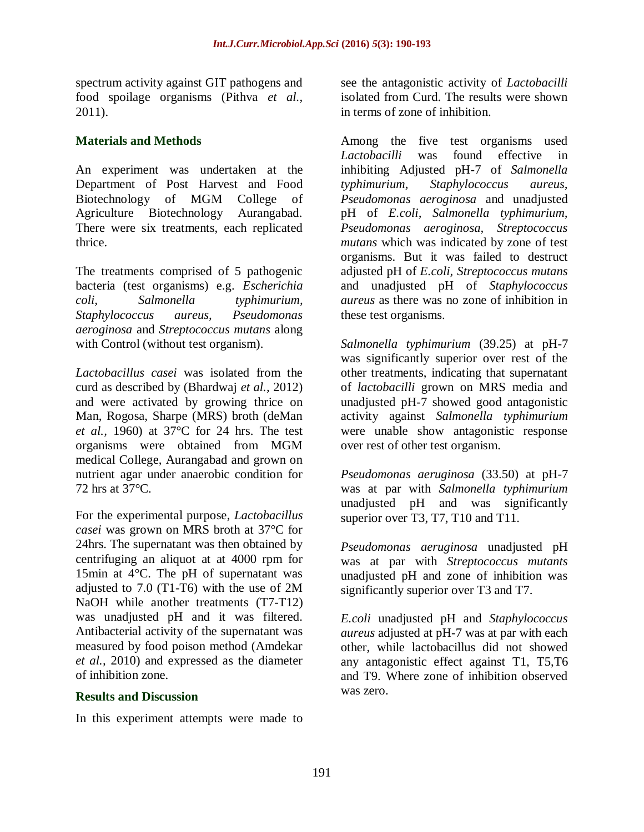spectrum activity against GIT pathogens and food spoilage organisms (Pithva *et al.,* 2011).

# **Materials and Methods**

An experiment was undertaken at the Department of Post Harvest and Food Biotechnology of MGM College of Agriculture Biotechnology Aurangabad. There were six treatments, each replicated thrice.

The treatments comprised of 5 pathogenic bacteria (test organisms) e.g. *Escherichia coli, Salmonella typhimurium, Staphylococcus aureus, Pseudomonas aeroginosa* and *Streptococcus mutans* along with Control (without test organism).

*Lactobacillus casei* was isolated from the curd as described by (Bhardwaj *et al.,* 2012) and were activated by growing thrice on Man, Rogosa, Sharpe (MRS) broth (deMan *et al.,* 1960) at 37°C for 24 hrs. The test organisms were obtained from MGM medical College, Aurangabad and grown on nutrient agar under anaerobic condition for 72 hrs at 37°C.

For the experimental purpose, *Lactobacillus casei* was grown on MRS broth at 37°C for 24hrs. The supernatant was then obtained by centrifuging an aliquot at at 4000 rpm for 15min at 4°C. The pH of supernatant was adjusted to 7.0 (T1-T6) with the use of 2M NaOH while another treatments (T7-T12) was unadjusted pH and it was filtered. Antibacterial activity of the supernatant was measured by food poison method (Amdekar *et al.,* 2010) and expressed as the diameter of inhibition zone.

## **Results and Discussion**

In this experiment attempts were made to

see the antagonistic activity of *Lactobacilli*  isolated from Curd. The results were shown in terms of zone of inhibition.

Among the five test organisms used *Lactobacilli* was found effective in inhibiting Adjusted pH-7 of *Salmonella typhimurium, Staphylococcus aureus, Pseudomonas aeroginosa* and unadjusted pH of *E.coli, Salmonella typhimurium, Pseudomonas aeroginosa, Streptococcus mutans* which was indicated by zone of test organisms. But it was failed to destruct adjusted pH of *E.coli, Streptococcus mutans*  and unadjusted pH of *Staphylococcus aureus* as there was no zone of inhibition in these test organisms.

*Salmonella typhimurium* (39.25) at pH-7 was significantly superior over rest of the other treatments, indicating that supernatant of *lactobacilli* grown on MRS media and unadjusted pH-7 showed good antagonistic activity against *Salmonella typhimurium*  were unable show antagonistic response over rest of other test organism.

*Pseudomonas aeruginosa* (33.50) at pH-7 was at par with *Salmonella typhimurium* unadjusted pH and was significantly superior over T3, T7, T10 and T11.

*Pseudomonas aeruginosa* unadjusted pH was at par with *Streptococcus mutants* unadjusted pH and zone of inhibition was significantly superior over T3 and T7.

*E.coli* unadjusted pH and *Staphylococcus aureus* adjusted at pH-7 was at par with each other, while lactobacillus did not showed any antagonistic effect against T1, T5,T6 and T9. Where zone of inhibition observed was zero.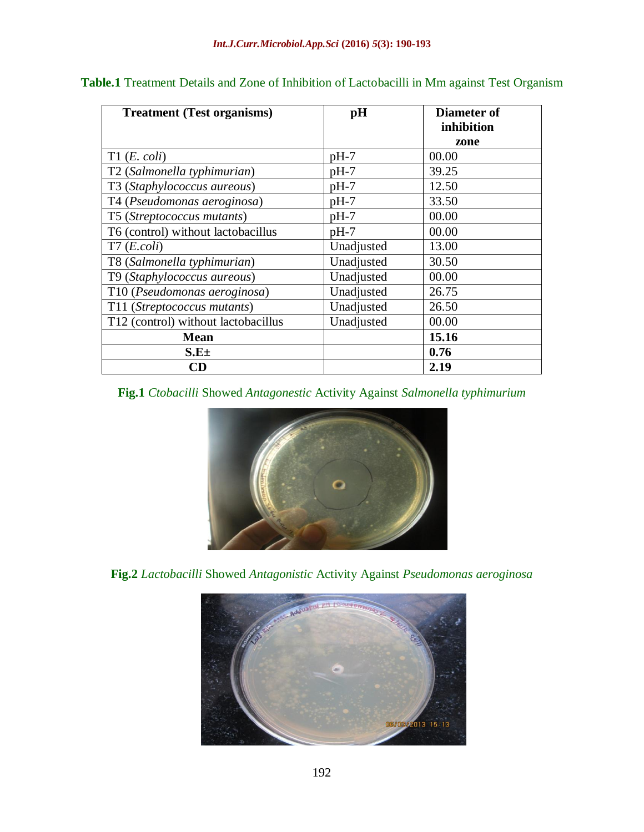| <b>Treatment (Test organisms)</b>   | pH         | Diameter of |
|-------------------------------------|------------|-------------|
|                                     |            | inhibition  |
|                                     |            | zone        |
| T1(E. coli)                         | $pH-7$     | 00.00       |
| T2 (Salmonella typhimurian)         | $pH-7$     | 39.25       |
| T3 (Staphylococcus aureous)         | $pH-7$     | 12.50       |
| T4 (Pseudomonas aeroginosa)         | $pH-7$     | 33.50       |
| T5 (Streptococcus mutants)          | $pH-7$     | 00.00       |
| T6 (control) without lactobacillus  | $pH-7$     | 00.00       |
| T7(E. coli)                         | Unadjusted | 13.00       |
| T8 (Salmonella typhimurian)         | Unadjusted | 30.50       |
| T9 (Staphylococcus aureous)         | Unadjusted | 00.00       |
| T10 (Pseudomonas aeroginosa)        | Unadjusted | 26.75       |
| T11 (Streptococcus mutants)         | Unadjusted | 26.50       |
| T12 (control) without lactobacillus | Unadjusted | 00.00       |
| <b>Mean</b>                         |            | 15.16       |
| $S.E\pm$                            |            | 0.76        |
| CD                                  |            | 2.19        |

# **Table.1** Treatment Details and Zone of Inhibition of Lactobacilli in Mm against Test Organism

#### **Fig.1** *Ctobacilli* Showed *Antagonestic* Activity Against *Salmonella typhimurium*



**Fig.2** *Lactobacilli* Showed *Antagonistic* Activity Against *Pseudomonas aeroginosa*